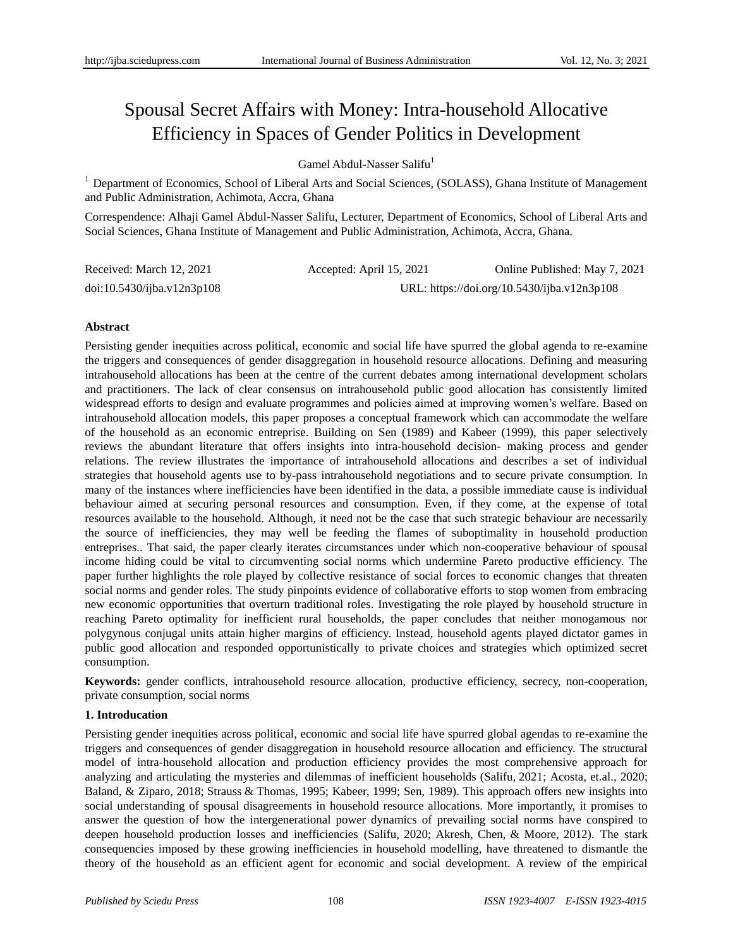# Spousal Secret Affairs with Money: Intra-household Allocative Efficiency in Spaces of Gender Politics in Development

Gamel Abdul-Nasser Salifu<sup>1</sup>

<sup>1</sup> Department of Economics, School of Liberal Arts and Social Sciences, (SOLASS), Ghana Institute of Management and Public Administration, Achimota, Accra, Ghana

Correspendence: Alhaji Gamel Abdul-Nasser Salifu, Lecturer, Department of Economics, School of Liberal Arts and Social Sciences, Ghana Institute of Management and Public Administration, Achimota, Accra, Ghana.

| Received: March 12, 2021   | Accepted: April 15, 2021                    | Online Published: May 7, 2021 |
|----------------------------|---------------------------------------------|-------------------------------|
| doi:10.5430/ijba.v12n3p108 | URL: https://doi.org/10.5430/ijba.v12n3p108 |                               |

#### **Abstract**

Persisting gender inequities across political, economic and social life have spurred the global agenda to re-examine the triggers and consequences of gender disaggregation in household resource allocations. Defining and measuring intrahousehold allocations has been at the centre of the current debates among international development scholars and practitioners. The lack of clear consensus on intrahousehold public good allocation has consistently limited widespread efforts to design and evaluate programmes and policies aimed at improving women"s welfare. Based on intrahousehold allocation models, this paper proposes a conceptual framework which can accommodate the welfare of the household as an economic entreprise. Building on Sen (1989) and Kabeer (1999), this paper selectively reviews the abundant literature that offers insights into intra-household decision- making process and gender relations. The review illustrates the importance of intrahousehold allocations and describes a set of individual strategies that household agents use to by-pass intrahousehold negotiations and to secure private consumption. In many of the instances where inefficiencies have been identified in the data, a possible immediate cause is individual behaviour aimed at securing personal resources and consumption. Even, if they come, at the expense of total resources available to the household. Although, it need not be the case that such strategic behaviour are necessarily the source of inefficiencies, they may well be feeding the flames of suboptimality in household production entreprises.. That said, the paper clearly iterates circumstances under which non-cooperative behaviour of spousal income hiding could be vital to circumventing social norms which undermine Pareto productive efficiency. The paper further highlights the role played by collective resistance of social forces to economic changes that threaten social norms and gender roles. The study pinpoints evidence of collaborative efforts to stop women from embracing new economic opportunities that overturn traditional roles. Investigating the role played by household structure in reaching Pareto optimality for inefficient rural households, the paper concludes that neither monogamous nor polygynous conjugal units attain higher margins of efficiency. Instead, household agents played dictator games in public good allocation and responded opportunistically to private choices and strategies which optimized secret consumption.

**Keywords:** gender conflicts, intrahousehold resource allocation, productive efficiency, secrecy, non-cooperation, private consumption, social norms

# **1. Introducation**

Persisting gender inequities across political, economic and social life have spurred global agendas to re-examine the triggers and consequences of gender disaggregation in household resource allocation and efficiency. The structural model of intra-household allocation and production efficiency provides the most comprehensive approach for analyzing and articulating the mysteries and dilemmas of inefficient households (Salifu, 2021; Acosta, et.al., 2020; Baland, & Ziparo, 2018; Strauss & Thomas, 1995; Kabeer, 1999; Sen, 1989). This approach offers new insights into social understanding of spousal disagreements in household resource allocations. More importantly, it promises to answer the question of how the intergenerational power dynamics of prevailing social norms have conspired to deepen household production losses and inefficiencies (Salifu, 2020; Akresh, Chen, & Moore, 2012). The stark consequencies imposed by these growing inefficiencies in household modelling, have threatened to dismantle the theory of the household as an efficient agent for economic and social development. A review of the empirical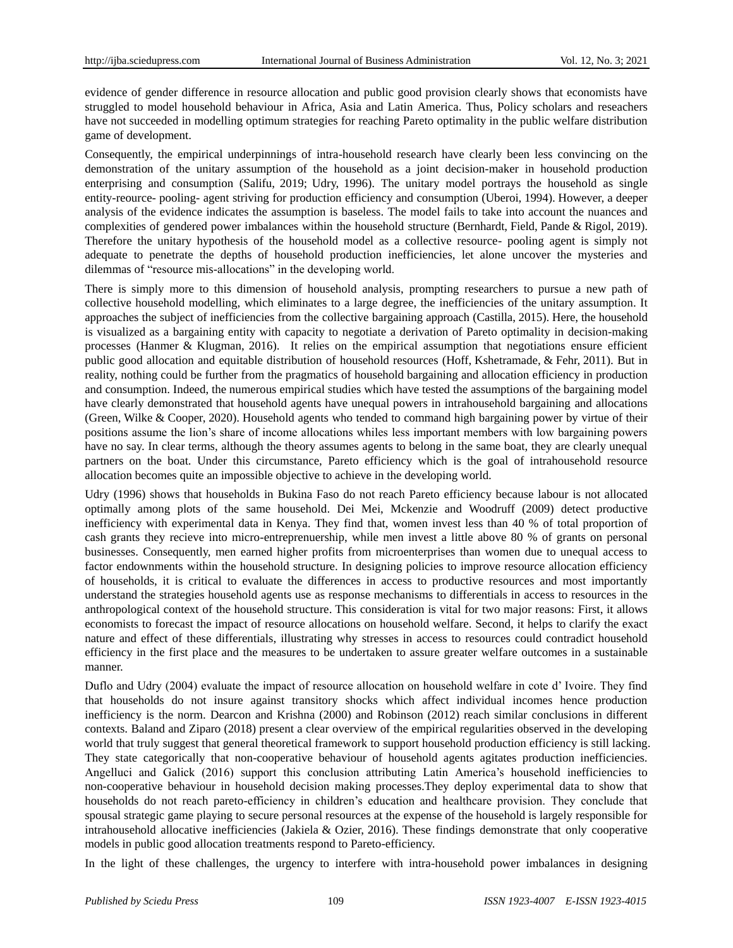evidence of gender difference in resource allocation and public good provision clearly shows that economists have struggled to model household behaviour in Africa, Asia and Latin America. Thus, Policy scholars and reseachers have not succeeded in modelling optimum strategies for reaching Pareto optimality in the public welfare distribution game of development.

Consequently, the empirical underpinnings of intra-household research have clearly been less convincing on the demonstration of the unitary assumption of the household as a joint decision-maker in household production enterprising and consumption (Salifu, 2019; Udry, 1996). The unitary model portrays the household as single entity-reource- pooling- agent striving for production efficiency and consumption (Uberoi, 1994). However, a deeper analysis of the evidence indicates the assumption is baseless. The model fails to take into account the nuances and complexities of gendered power imbalances within the household structure (Bernhardt, Field, Pande & Rigol, 2019). Therefore the unitary hypothesis of the household model as a collective resource- pooling agent is simply not adequate to penetrate the depths of household production inefficiencies, let alone uncover the mysteries and dilemmas of "resource mis-allocations" in the developing world.

There is simply more to this dimension of household analysis, prompting researchers to pursue a new path of collective household modelling, which eliminates to a large degree, the inefficiencies of the unitary assumption. It approaches the subject of inefficiencies from the collective bargaining approach (Castilla, 2015). Here, the household is visualized as a bargaining entity with capacity to negotiate a derivation of Pareto optimality in decision-making processes (Hanmer & Klugman, 2016). It relies on the empirical assumption that negotiations ensure efficient public good allocation and equitable distribution of household resources (Hoff, Kshetramade, & Fehr, 2011). But in reality, nothing could be further from the pragmatics of household bargaining and allocation efficiency in production and consumption. Indeed, the numerous empirical studies which have tested the assumptions of the bargaining model have clearly demonstrated that household agents have unequal powers in intrahousehold bargaining and allocations (Green, Wilke & Cooper, 2020). Household agents who tended to command high bargaining power by virtue of their positions assume the lion"s share of income allocations whiles less important members with low bargaining powers have no say. In clear terms, although the theory assumes agents to belong in the same boat, they are clearly unequal partners on the boat. Under this circumstance, Pareto efficiency which is the goal of intrahousehold resource allocation becomes quite an impossible objective to achieve in the developing world.

Udry (1996) shows that households in Bukina Faso do not reach Pareto efficiency because labour is not allocated optimally among plots of the same household. Dei Mei, Mckenzie and Woodruff (2009) detect productive inefficiency with experimental data in Kenya. They find that, women invest less than 40 % of total proportion of cash grants they recieve into micro-entreprenuership, while men invest a little above 80 % of grants on personal businesses. Consequently, men earned higher profits from microenterprises than women due to unequal access to factor endownments within the household structure. In designing policies to improve resource allocation efficiency of households, it is critical to evaluate the differences in access to productive resources and most importantly understand the strategies household agents use as response mechanisms to differentials in access to resources in the anthropological context of the household structure. This consideration is vital for two major reasons: First, it allows economists to forecast the impact of resource allocations on household welfare. Second, it helps to clarify the exact nature and effect of these differentials, illustrating why stresses in access to resources could contradict household efficiency in the first place and the measures to be undertaken to assure greater welfare outcomes in a sustainable manner.

Duflo and Udry (2004) evaluate the impact of resource allocation on household welfare in cote d" Ivoire. They find that households do not insure against transitory shocks which affect individual incomes hence production inefficiency is the norm. Dearcon and Krishna (2000) and Robinson (2012) reach similar conclusions in different contexts. Baland and Ziparo (2018) present a clear overview of the empirical regularities observed in the developing world that truly suggest that general theoretical framework to support household production efficiency is still lacking. They state categorically that non-cooperative behaviour of household agents agitates production inefficiencies. Angelluci and Galick (2016) support this conclusion attributing Latin America"s household inefficiencies to non-cooperative behaviour in household decision making processes.They deploy experimental data to show that households do not reach pareto-efficiency in children"s education and healthcare provision. They conclude that spousal strategic game playing to secure personal resources at the expense of the household is largely responsible for intrahousehold allocative inefficiencies (Jakiela & Ozier, 2016). These findings demonstrate that only cooperative models in public good allocation treatments respond to Pareto-efficiency.

In the light of these challenges, the urgency to interfere with intra-household power imbalances in designing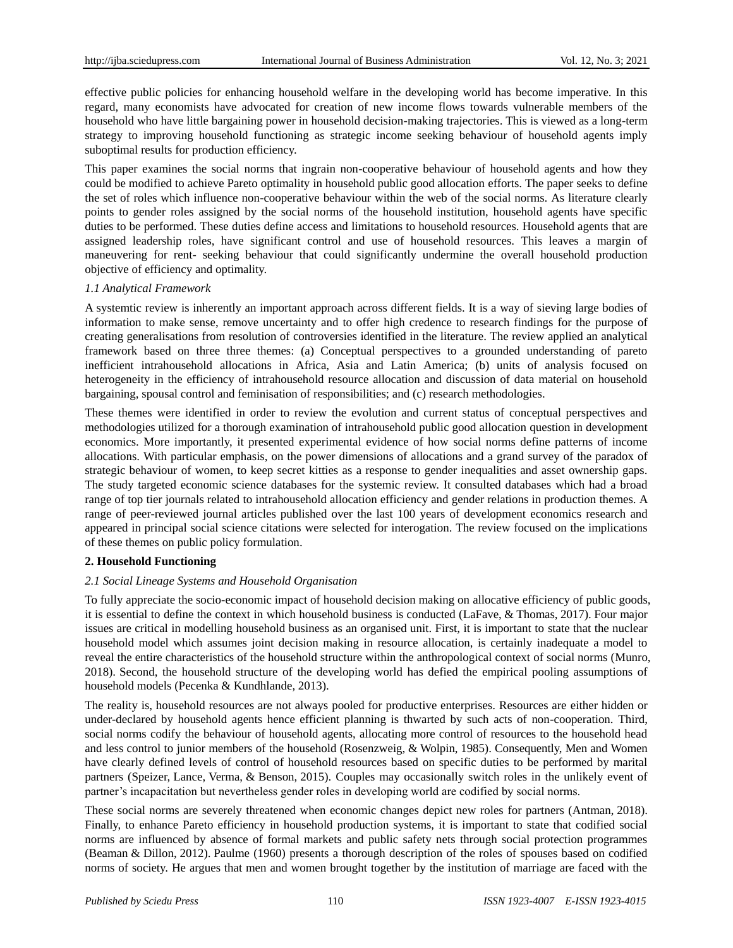effective public policies for enhancing household welfare in the developing world has become imperative. In this regard, many economists have advocated for creation of new income flows towards vulnerable members of the household who have little bargaining power in household decision-making trajectories. This is viewed as a long-term strategy to improving household functioning as strategic income seeking behaviour of household agents imply suboptimal results for production efficiency.

This paper examines the social norms that ingrain non-cooperative behaviour of household agents and how they could be modified to achieve Pareto optimality in household public good allocation efforts. The paper seeks to define the set of roles which influence non-cooperative behaviour within the web of the social norms. As literature clearly points to gender roles assigned by the social norms of the household institution, household agents have specific duties to be performed. These duties define access and limitations to household resources. Household agents that are assigned leadership roles, have significant control and use of household resources. This leaves a margin of maneuvering for rent- seeking behaviour that could significantly undermine the overall household production objective of efficiency and optimality.

#### *1.1 Analytical Framework*

A systemtic review is inherently an important approach across different fields. It is a way of sieving large bodies of information to make sense, remove uncertainty and to offer high credence to research findings for the purpose of creating generalisations from resolution of controversies identified in the literature. The review applied an analytical framework based on three three themes: (a) Conceptual perspectives to a grounded understanding of pareto inefficient intrahousehold allocations in Africa, Asia and Latin America; (b) units of analysis focused on heterogeneity in the efficiency of intrahousehold resource allocation and discussion of data material on household bargaining, spousal control and feminisation of responsibilities; and (c) research methodologies.

These themes were identified in order to review the evolution and current status of conceptual perspectives and methodologies utilized for a thorough examination of intrahousehold public good allocation question in development economics. More importantly, it presented experimental evidence of how social norms define patterns of income allocations. With particular emphasis, on the power dimensions of allocations and a grand survey of the paradox of strategic behaviour of women, to keep secret kitties as a response to gender inequalities and asset ownership gaps. The study targeted economic science databases for the systemic review. It consulted databases which had a broad range of top tier journals related to intrahousehold allocation efficiency and gender relations in production themes. A range of peer-reviewed journal articles published over the last 100 years of development economics research and appeared in principal social science citations were selected for interogation. The review focused on the implications of these themes on public policy formulation.

# **2. Household Functioning**

# *2.1 Social Lineage Systems and Household Organisation*

To fully appreciate the socio-economic impact of household decision making on allocative efficiency of public goods, it is essential to define the context in which household business is conducted (LaFave, & Thomas, 2017). Four major issues are critical in modelling household business as an organised unit. First, it is important to state that the nuclear household model which assumes joint decision making in resource allocation, is certainly inadequate a model to reveal the entire characteristics of the household structure within the anthropological context of social norms (Munro, 2018). Second, the household structure of the developing world has defied the empirical pooling assumptions of household models (Pecenka & Kundhlande, 2013).

The reality is, household resources are not always pooled for productive enterprises. Resources are either hidden or under-declared by household agents hence efficient planning is thwarted by such acts of non-cooperation. Third, social norms codify the behaviour of household agents, allocating more control of resources to the household head and less control to junior members of the household (Rosenzweig, & Wolpin, 1985). Consequently, Men and Women have clearly defined levels of control of household resources based on specific duties to be performed by marital partners (Speizer, Lance, Verma, & Benson, 2015). Couples may occasionally switch roles in the unlikely event of partner"s incapacitation but nevertheless gender roles in developing world are codified by social norms.

These social norms are severely threatened when economic changes depict new roles for partners (Antman, 2018). Finally, to enhance Pareto efficiency in household production systems, it is important to state that codified social norms are influenced by absence of formal markets and public safety nets through social protection programmes (Beaman & Dillon, 2012). Paulme (1960) presents a thorough description of the roles of spouses based on codified norms of society. He argues that men and women brought together by the institution of marriage are faced with the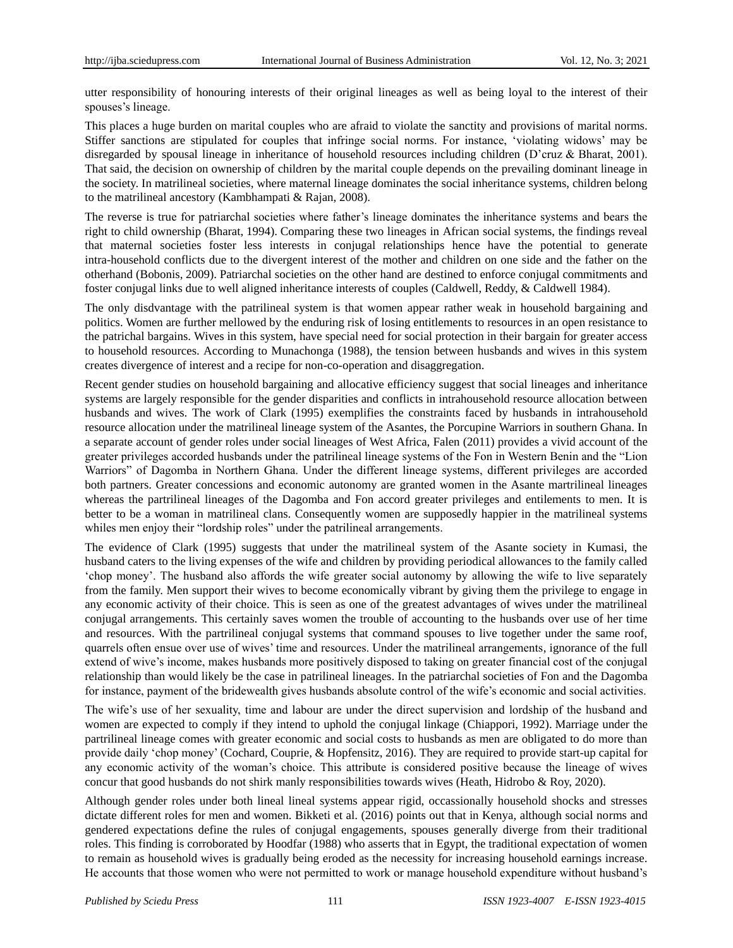utter responsibility of honouring interests of their original lineages as well as being loyal to the interest of their spouses's lineage.

This places a huge burden on marital couples who are afraid to violate the sanctity and provisions of marital norms. Stiffer sanctions are stipulated for couples that infringe social norms. For instance, "violating widows" may be disregarded by spousal lineage in inheritance of household resources including children (D"cruz & Bharat, 2001). That said, the decision on ownership of children by the marital couple depends on the prevailing dominant lineage in the society. In matrilineal societies, where maternal lineage dominates the social inheritance systems, children belong to the matrilineal ancestory (Kambhampati & Rajan, 2008).

The reverse is true for patriarchal societies where father"s lineage dominates the inheritance systems and bears the right to child ownership (Bharat, 1994). Comparing these two lineages in African social systems, the findings reveal that maternal societies foster less interests in conjugal relationships hence have the potential to generate intra-household conflicts due to the divergent interest of the mother and children on one side and the father on the otherhand (Bobonis, 2009). Patriarchal societies on the other hand are destined to enforce conjugal commitments and foster conjugal links due to well aligned inheritance interests of couples (Caldwell, Reddy, & Caldwell 1984).

The only disdvantage with the patrilineal system is that women appear rather weak in household bargaining and politics. Women are further mellowed by the enduring risk of losing entitlements to resources in an open resistance to the patrichal bargains. Wives in this system, have special need for social protection in their bargain for greater access to household resources. According to Munachonga (1988), the tension between husbands and wives in this system creates divergence of interest and a recipe for non-co-operation and disaggregation.

Recent gender studies on household bargaining and allocative efficiency suggest that social lineages and inheritance systems are largely responsible for the gender disparities and conflicts in intrahousehold resource allocation between husbands and wives. The work of Clark (1995) exemplifies the constraints faced by husbands in intrahousehold resource allocation under the matrilineal lineage system of the Asantes, the Porcupine Warriors in southern Ghana. In a separate account of gender roles under social lineages of West Africa, Falen (2011) provides a vivid account of the greater privileges accorded husbands under the patrilineal lineage systems of the Fon in Western Benin and the "Lion Warriors" of Dagomba in Northern Ghana. Under the different lineage systems, different privileges are accorded both partners. Greater concessions and economic autonomy are granted women in the Asante martrilineal lineages whereas the partrilineal lineages of the Dagomba and Fon accord greater privileges and entilements to men. It is better to be a woman in matrilineal clans. Consequently women are supposedly happier in the matrilineal systems whiles men enjoy their "lordship roles" under the patrilineal arrangements.

The evidence of Clark (1995) suggests that under the matrilineal system of the Asante society in Kumasi, the husband caters to the living expenses of the wife and children by providing periodical allowances to the family called 'chop money'. The husband also affords the wife greater social autonomy by allowing the wife to live separately from the family. Men support their wives to become economically vibrant by giving them the privilege to engage in any economic activity of their choice. This is seen as one of the greatest advantages of wives under the matrilineal conjugal arrangements. This certainly saves women the trouble of accounting to the husbands over use of her time and resources. With the partrilineal conjugal systems that command spouses to live together under the same roof, quarrels often ensue over use of wives" time and resources. Under the matrilineal arrangements, ignorance of the full extend of wive's income, makes husbands more positively disposed to taking on greater financial cost of the conjugal relationship than would likely be the case in patrilineal lineages. In the patriarchal societies of Fon and the Dagomba for instance, payment of the bridewealth gives husbands absolute control of the wife"s economic and social activities.

The wife's use of her sexuality, time and labour are under the direct supervision and lordship of the husband and women are expected to comply if they intend to uphold the conjugal linkage (Chiappori, 1992). Marriage under the partrilineal lineage comes with greater economic and social costs to husbands as men are obligated to do more than provide daily "chop money" (Cochard, Couprie, & Hopfensitz, 2016). They are required to provide start-up capital for any economic activity of the woman"s choice. This attribute is considered positive because the lineage of wives concur that good husbands do not shirk manly responsibilities towards wives (Heath, Hidrobo & Roy, 2020).

Although gender roles under both lineal lineal systems appear rigid, occassionally household shocks and stresses dictate different roles for men and women. Bikketi et al. (2016) points out that in Kenya, although social norms and gendered expectations define the rules of conjugal engagements, spouses generally diverge from their traditional roles. This finding is corroborated by Hoodfar (1988) who asserts that in Egypt, the traditional expectation of women to remain as household wives is gradually being eroded as the necessity for increasing household earnings increase. He accounts that those women who were not permitted to work or manage household expenditure without husband"s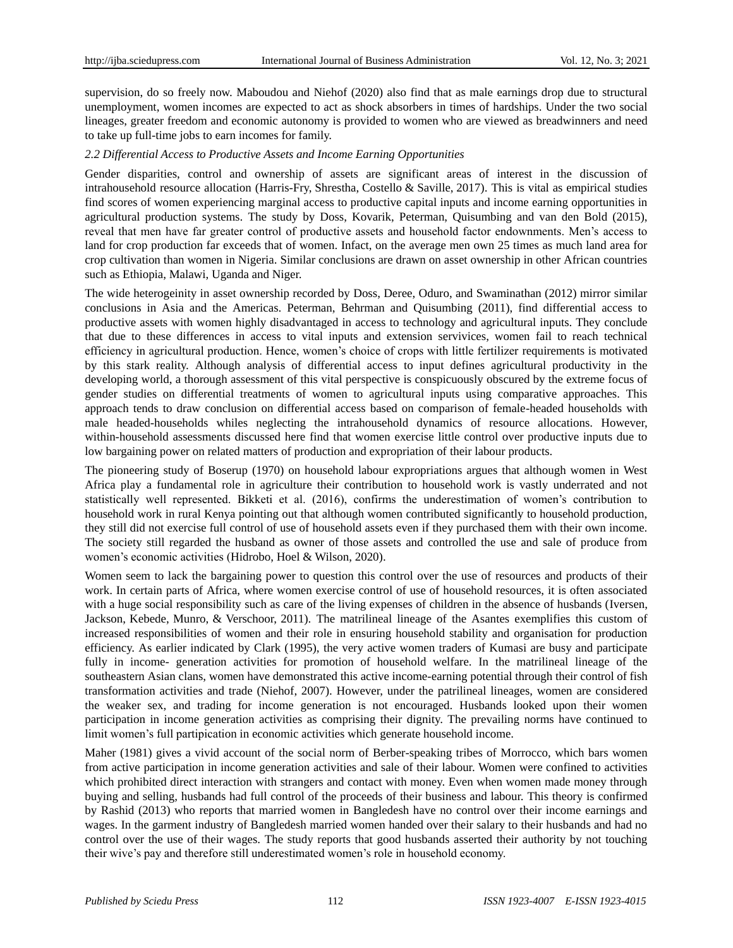supervision, do so freely now. Maboudou and Niehof (2020) also find that as male earnings drop due to structural unemployment, women incomes are expected to act as shock absorbers in times of hardships. Under the two social lineages, greater freedom and economic autonomy is provided to women who are viewed as breadwinners and need to take up full-time jobs to earn incomes for family.

## *2.2 Differential Access to Productive Assets and Income Earning Opportunities*

Gender disparities, control and ownership of assets are significant areas of interest in the discussion of intrahousehold resource allocation (Harris-Fry, Shrestha, Costello & Saville, 2017). This is vital as empirical studies find scores of women experiencing marginal access to productive capital inputs and income earning opportunities in agricultural production systems. The study by Doss, Kovarik, Peterman, Quisumbing and van den Bold (2015), reveal that men have far greater control of productive assets and household factor endownments. Men"s access to land for crop production far exceeds that of women. Infact, on the average men own 25 times as much land area for crop cultivation than women in Nigeria. Similar conclusions are drawn on asset ownership in other African countries such as Ethiopia, Malawi, Uganda and Niger.

The wide heterogeinity in asset ownership recorded by Doss, Deree, Oduro, and Swaminathan (2012) mirror similar conclusions in Asia and the Americas. Peterman, Behrman and Quisumbing (2011), find differential access to productive assets with women highly disadvantaged in access to technology and agricultural inputs. They conclude that due to these differences in access to vital inputs and extension servivices, women fail to reach technical efficiency in agricultural production. Hence, women"s choice of crops with little fertilizer requirements is motivated by this stark reality. Although analysis of differential access to input defines agricultural productivity in the developing world, a thorough assessment of this vital perspective is conspicuously obscured by the extreme focus of gender studies on differential treatments of women to agricultural inputs using comparative approaches. This approach tends to draw conclusion on differential access based on comparison of female-headed households with male headed-households whiles neglecting the intrahousehold dynamics of resource allocations. However, within-household assessments discussed here find that women exercise little control over productive inputs due to low bargaining power on related matters of production and expropriation of their labour products.

The pioneering study of Boserup (1970) on household labour expropriations argues that although women in West Africa play a fundamental role in agriculture their contribution to household work is vastly underrated and not statistically well represented. Bikketi et al. (2016), confirms the underestimation of women"s contribution to household work in rural Kenya pointing out that although women contributed significantly to household production, they still did not exercise full control of use of household assets even if they purchased them with their own income. The society still regarded the husband as owner of those assets and controlled the use and sale of produce from women"s economic activities (Hidrobo, Hoel & Wilson, 2020).

Women seem to lack the bargaining power to question this control over the use of resources and products of their work. In certain parts of Africa, where women exercise control of use of household resources, it is often associated with a huge social responsibility such as care of the living expenses of children in the absence of husbands (Iversen, Jackson, Kebede, Munro, & Verschoor, 2011). The matrilineal lineage of the Asantes exemplifies this custom of increased responsibilities of women and their role in ensuring household stability and organisation for production efficiency. As earlier indicated by Clark (1995), the very active women traders of Kumasi are busy and participate fully in income- generation activities for promotion of household welfare. In the matrilineal lineage of the southeastern Asian clans, women have demonstrated this active income-earning potential through their control of fish transformation activities and trade (Niehof, 2007). However, under the patrilineal lineages, women are considered the weaker sex, and trading for income generation is not encouraged. Husbands looked upon their women participation in income generation activities as comprising their dignity. The prevailing norms have continued to limit women"s full partipication in economic activities which generate household income.

Maher (1981) gives a vivid account of the social norm of Berber-speaking tribes of Morrocco, which bars women from active participation in income generation activities and sale of their labour. Women were confined to activities which prohibited direct interaction with strangers and contact with money. Even when women made money through buying and selling, husbands had full control of the proceeds of their business and labour. This theory is confirmed by Rashid (2013) who reports that married women in Bangledesh have no control over their income earnings and wages. In the garment industry of Bangledesh married women handed over their salary to their husbands and had no control over the use of their wages. The study reports that good husbands asserted their authority by not touching their wive"s pay and therefore still underestimated women"s role in household economy.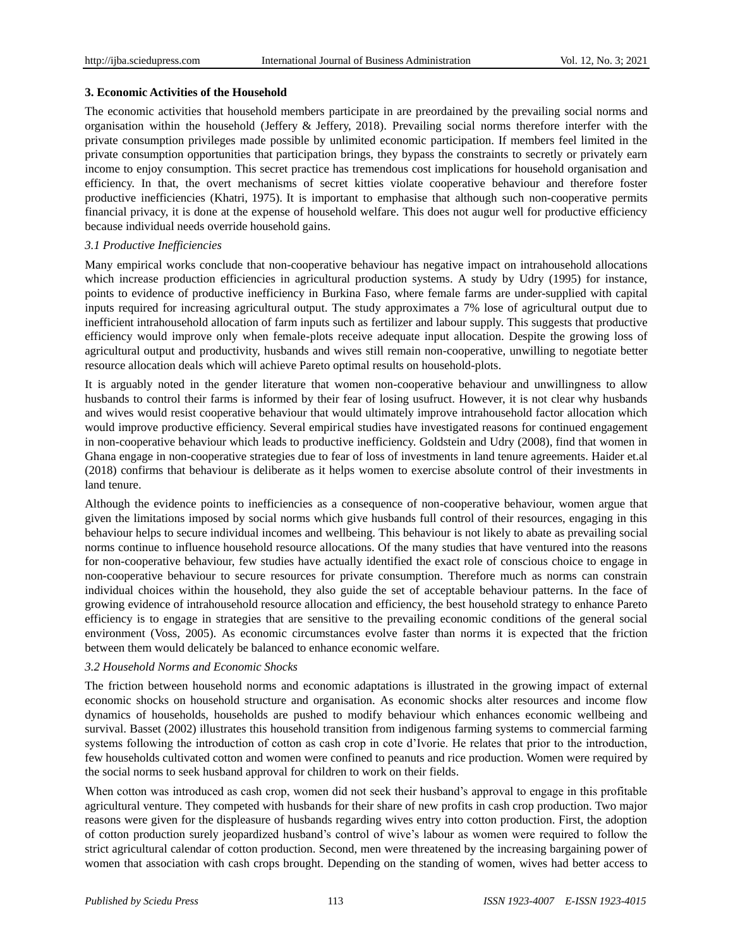#### **3. Economic Activities of the Household**

The economic activities that household members participate in are preordained by the prevailing social norms and organisation within the household (Jeffery & Jeffery, 2018). Prevailing social norms therefore interfer with the private consumption privileges made possible by unlimited economic participation. If members feel limited in the private consumption opportunities that participation brings, they bypass the constraints to secretly or privately earn income to enjoy consumption. This secret practice has tremendous cost implications for household organisation and efficiency. In that, the overt mechanisms of secret kitties violate cooperative behaviour and therefore foster productive inefficiencies (Khatri, 1975). It is important to emphasise that although such non-cooperative permits financial privacy, it is done at the expense of household welfare. This does not augur well for productive efficiency because individual needs override household gains.

## *3.1 Productive Inefficiencies*

Many empirical works conclude that non-cooperative behaviour has negative impact on intrahousehold allocations which increase production efficiencies in agricultural production systems. A study by Udry (1995) for instance, points to evidence of productive inefficiency in Burkina Faso, where female farms are under-supplied with capital inputs required for increasing agricultural output. The study approximates a 7% lose of agricultural output due to inefficient intrahousehold allocation of farm inputs such as fertilizer and labour supply. This suggests that productive efficiency would improve only when female-plots receive adequate input allocation. Despite the growing loss of agricultural output and productivity, husbands and wives still remain non-cooperative, unwilling to negotiate better resource allocation deals which will achieve Pareto optimal results on household-plots.

It is arguably noted in the gender literature that women non-cooperative behaviour and unwillingness to allow husbands to control their farms is informed by their fear of losing usufruct. However, it is not clear why husbands and wives would resist cooperative behaviour that would ultimately improve intrahousehold factor allocation which would improve productive efficiency. Several empirical studies have investigated reasons for continued engagement in non-cooperative behaviour which leads to productive inefficiency. Goldstein and Udry (2008), find that women in Ghana engage in non-cooperative strategies due to fear of loss of investments in land tenure agreements. Haider et.al (2018) confirms that behaviour is deliberate as it helps women to exercise absolute control of their investments in land tenure.

Although the evidence points to inefficiencies as a consequence of non-cooperative behaviour, women argue that given the limitations imposed by social norms which give husbands full control of their resources, engaging in this behaviour helps to secure individual incomes and wellbeing. This behaviour is not likely to abate as prevailing social norms continue to influence household resource allocations. Of the many studies that have ventured into the reasons for non-cooperative behaviour, few studies have actually identified the exact role of conscious choice to engage in non-cooperative behaviour to secure resources for private consumption. Therefore much as norms can constrain individual choices within the household, they also guide the set of acceptable behaviour patterns. In the face of growing evidence of intrahousehold resource allocation and efficiency, the best household strategy to enhance Pareto efficiency is to engage in strategies that are sensitive to the prevailing economic conditions of the general social environment (Voss, 2005). As economic circumstances evolve faster than norms it is expected that the friction between them would delicately be balanced to enhance economic welfare.

#### *3.2 Household Norms and Economic Shocks*

The friction between household norms and economic adaptations is illustrated in the growing impact of external economic shocks on household structure and organisation. As economic shocks alter resources and income flow dynamics of households, households are pushed to modify behaviour which enhances economic wellbeing and survival. Basset (2002) illustrates this household transition from indigenous farming systems to commercial farming systems following the introduction of cotton as cash crop in cote d"Ivorie. He relates that prior to the introduction, few households cultivated cotton and women were confined to peanuts and rice production. Women were required by the social norms to seek husband approval for children to work on their fields.

When cotton was introduced as cash crop, women did not seek their husband's approval to engage in this profitable agricultural venture. They competed with husbands for their share of new profits in cash crop production. Two major reasons were given for the displeasure of husbands regarding wives entry into cotton production. First, the adoption of cotton production surely jeopardized husband"s control of wive"s labour as women were required to follow the strict agricultural calendar of cotton production. Second, men were threatened by the increasing bargaining power of women that association with cash crops brought. Depending on the standing of women, wives had better access to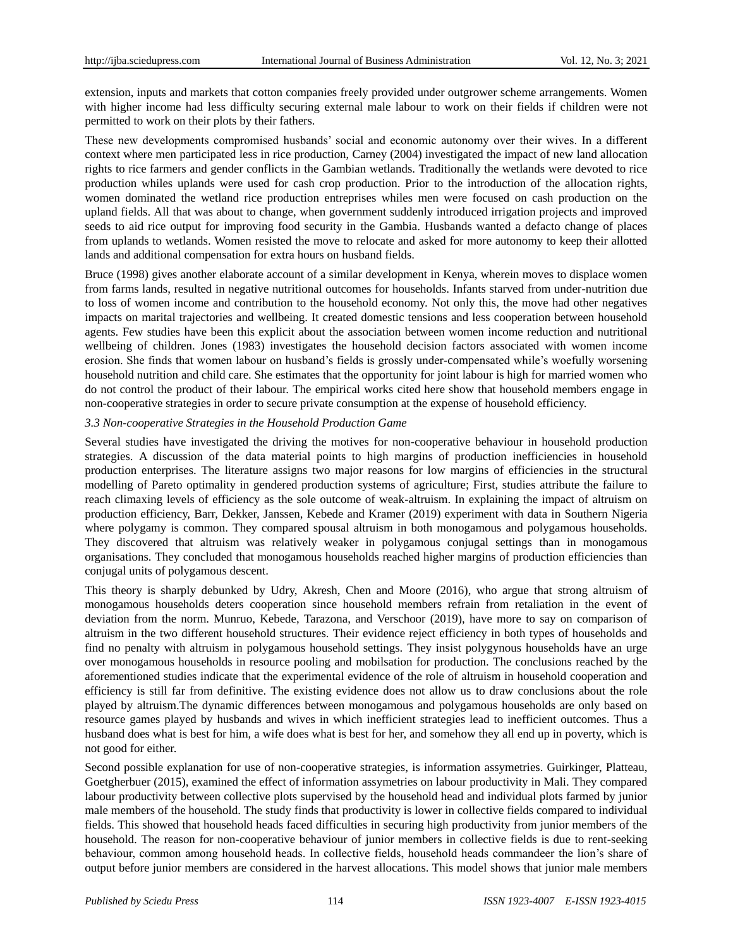extension, inputs and markets that cotton companies freely provided under outgrower scheme arrangements. Women with higher income had less difficulty securing external male labour to work on their fields if children were not permitted to work on their plots by their fathers.

These new developments compromised husbands" social and economic autonomy over their wives. In a different context where men participated less in rice production, Carney (2004) investigated the impact of new land allocation rights to rice farmers and gender conflicts in the Gambian wetlands. Traditionally the wetlands were devoted to rice production whiles uplands were used for cash crop production. Prior to the introduction of the allocation rights, women dominated the wetland rice production entreprises whiles men were focused on cash production on the upland fields. All that was about to change, when government suddenly introduced irrigation projects and improved seeds to aid rice output for improving food security in the Gambia. Husbands wanted a defacto change of places from uplands to wetlands. Women resisted the move to relocate and asked for more autonomy to keep their allotted lands and additional compensation for extra hours on husband fields.

Bruce (1998) gives another elaborate account of a similar development in Kenya, wherein moves to displace women from farms lands, resulted in negative nutritional outcomes for households. Infants starved from under-nutrition due to loss of women income and contribution to the household economy. Not only this, the move had other negatives impacts on marital trajectories and wellbeing. It created domestic tensions and less cooperation between household agents. Few studies have been this explicit about the association between women income reduction and nutritional wellbeing of children. Jones (1983) investigates the household decision factors associated with women income erosion. She finds that women labour on husband"s fields is grossly under-compensated while"s woefully worsening household nutrition and child care. She estimates that the opportunity for joint labour is high for married women who do not control the product of their labour. The empirical works cited here show that household members engage in non-cooperative strategies in order to secure private consumption at the expense of household efficiency.

## *3.3 Non-cooperative Strategies in the Household Production Game*

Several studies have investigated the driving the motives for non-cooperative behaviour in household production strategies. A discussion of the data material points to high margins of production inefficiencies in household production enterprises. The literature assigns two major reasons for low margins of efficiencies in the structural modelling of Pareto optimality in gendered production systems of agriculture; First, studies attribute the failure to reach climaxing levels of efficiency as the sole outcome of weak-altruism. In explaining the impact of altruism on production efficiency, Barr, Dekker, Janssen, Kebede and Kramer (2019) experiment with data in Southern Nigeria where polygamy is common. They compared spousal altruism in both monogamous and polygamous households. They discovered that altruism was relatively weaker in polygamous conjugal settings than in monogamous organisations. They concluded that monogamous households reached higher margins of production efficiencies than conjugal units of polygamous descent.

This theory is sharply debunked by Udry, Akresh, Chen and Moore (2016), who argue that strong altruism of monogamous households deters cooperation since household members refrain from retaliation in the event of deviation from the norm. Munruo, Kebede, Tarazona, and Verschoor (2019), have more to say on comparison of altruism in the two different household structures. Their evidence reject efficiency in both types of households and find no penalty with altruism in polygamous household settings. They insist polygynous households have an urge over monogamous households in resource pooling and mobilsation for production. The conclusions reached by the aforementioned studies indicate that the experimental evidence of the role of altruism in household cooperation and efficiency is still far from definitive. The existing evidence does not allow us to draw conclusions about the role played by altruism.The dynamic differences between monogamous and polygamous households are only based on resource games played by husbands and wives in which inefficient strategies lead to inefficient outcomes. Thus a husband does what is best for him, a wife does what is best for her, and somehow they all end up in poverty, which is not good for either.

Second possible explanation for use of non-cooperative strategies, is information assymetries. Guirkinger, Platteau, Goetgherbuer (2015), examined the effect of information assymetries on labour productivity in Mali. They compared labour productivity between collective plots supervised by the household head and individual plots farmed by junior male members of the household. The study finds that productivity is lower in collective fields compared to individual fields. This showed that household heads faced difficulties in securing high productivity from junior members of the household. The reason for non-cooperative behaviour of junior members in collective fields is due to rent-seeking behaviour, common among household heads. In collective fields, household heads commandeer the lion"s share of output before junior members are considered in the harvest allocations. This model shows that junior male members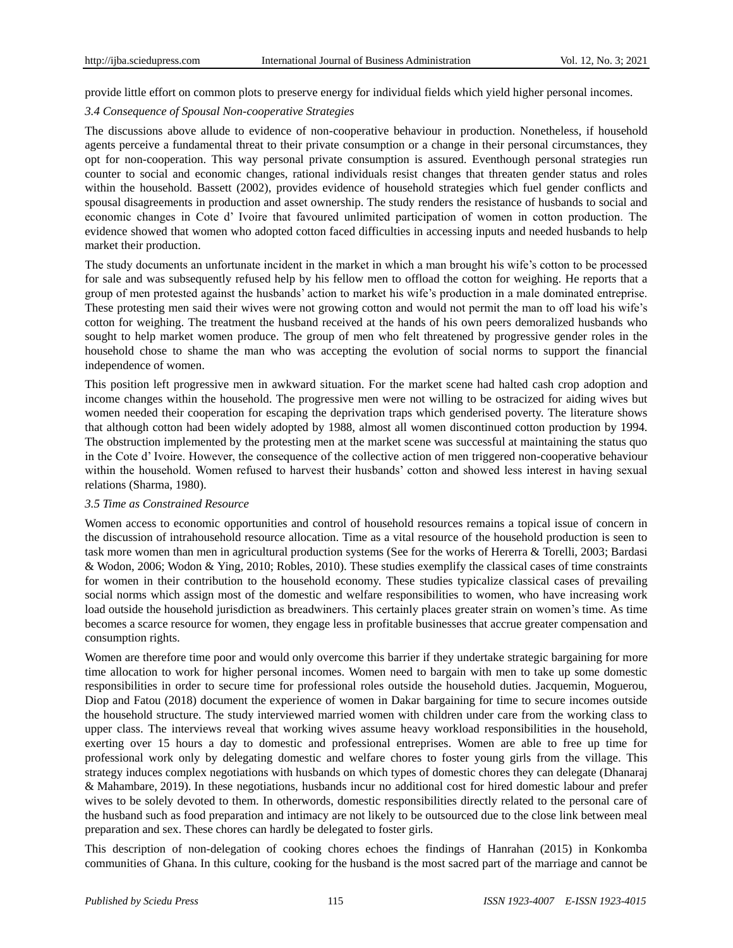provide little effort on common plots to preserve energy for individual fields which yield higher personal incomes.

## *3.4 Consequence of Spousal Non-cooperative Strategies*

The discussions above allude to evidence of non-cooperative behaviour in production. Nonetheless, if household agents perceive a fundamental threat to their private consumption or a change in their personal circumstances, they opt for non-cooperation. This way personal private consumption is assured. Eventhough personal strategies run counter to social and economic changes, rational individuals resist changes that threaten gender status and roles within the household. Bassett (2002), provides evidence of household strategies which fuel gender conflicts and spousal disagreements in production and asset ownership. The study renders the resistance of husbands to social and economic changes in Cote d" Ivoire that favoured unlimited participation of women in cotton production. The evidence showed that women who adopted cotton faced difficulties in accessing inputs and needed husbands to help market their production.

The study documents an unfortunate incident in the market in which a man brought his wife"s cotton to be processed for sale and was subsequently refused help by his fellow men to offload the cotton for weighing. He reports that a group of men protested against the husbands" action to market his wife"s production in a male dominated entreprise. These protesting men said their wives were not growing cotton and would not permit the man to off load his wife's cotton for weighing. The treatment the husband received at the hands of his own peers demoralized husbands who sought to help market women produce. The group of men who felt threatened by progressive gender roles in the household chose to shame the man who was accepting the evolution of social norms to support the financial independence of women.

This position left progressive men in awkward situation. For the market scene had halted cash crop adoption and income changes within the household. The progressive men were not willing to be ostracized for aiding wives but women needed their cooperation for escaping the deprivation traps which genderised poverty. The literature shows that although cotton had been widely adopted by 1988, almost all women discontinued cotton production by 1994. The obstruction implemented by the protesting men at the market scene was successful at maintaining the status quo in the Cote d" Ivoire. However, the consequence of the collective action of men triggered non-cooperative behaviour within the household. Women refused to harvest their husbands" cotton and showed less interest in having sexual relations (Sharma, 1980).

#### *3.5 Time as Constrained Resource*

Women access to economic opportunities and control of household resources remains a topical issue of concern in the discussion of intrahousehold resource allocation. Time as a vital resource of the household production is seen to task more women than men in agricultural production systems (See for the works of Hererra & Torelli, 2003; Bardasi & Wodon, 2006; Wodon & Ying, 2010; Robles, 2010). These studies exemplify the classical cases of time constraints for women in their contribution to the household economy. These studies typicalize classical cases of prevailing social norms which assign most of the domestic and welfare responsibilities to women, who have increasing work load outside the household jurisdiction as breadwiners. This certainly places greater strain on women's time. As time becomes a scarce resource for women, they engage less in profitable businesses that accrue greater compensation and consumption rights.

Women are therefore time poor and would only overcome this barrier if they undertake strategic bargaining for more time allocation to work for higher personal incomes. Women need to bargain with men to take up some domestic responsibilities in order to secure time for professional roles outside the household duties. Jacquemin, Moguerou, Diop and Fatou (2018) document the experience of women in Dakar bargaining for time to secure incomes outside the household structure. The study interviewed married women with children under care from the working class to upper class. The interviews reveal that working wives assume heavy workload responsibilities in the household, exerting over 15 hours a day to domestic and professional entreprises. Women are able to free up time for professional work only by delegating domestic and welfare chores to foster young girls from the village. This strategy induces complex negotiations with husbands on which types of domestic chores they can delegate (Dhanaraj & Mahambare, 2019). In these negotiations, husbands incur no additional cost for hired domestic labour and prefer wives to be solely devoted to them. In otherwords, domestic responsibilities directly related to the personal care of the husband such as food preparation and intimacy are not likely to be outsourced due to the close link between meal preparation and sex. These chores can hardly be delegated to foster girls.

This description of non-delegation of cooking chores echoes the findings of Hanrahan (2015) in Konkomba communities of Ghana. In this culture, cooking for the husband is the most sacred part of the marriage and cannot be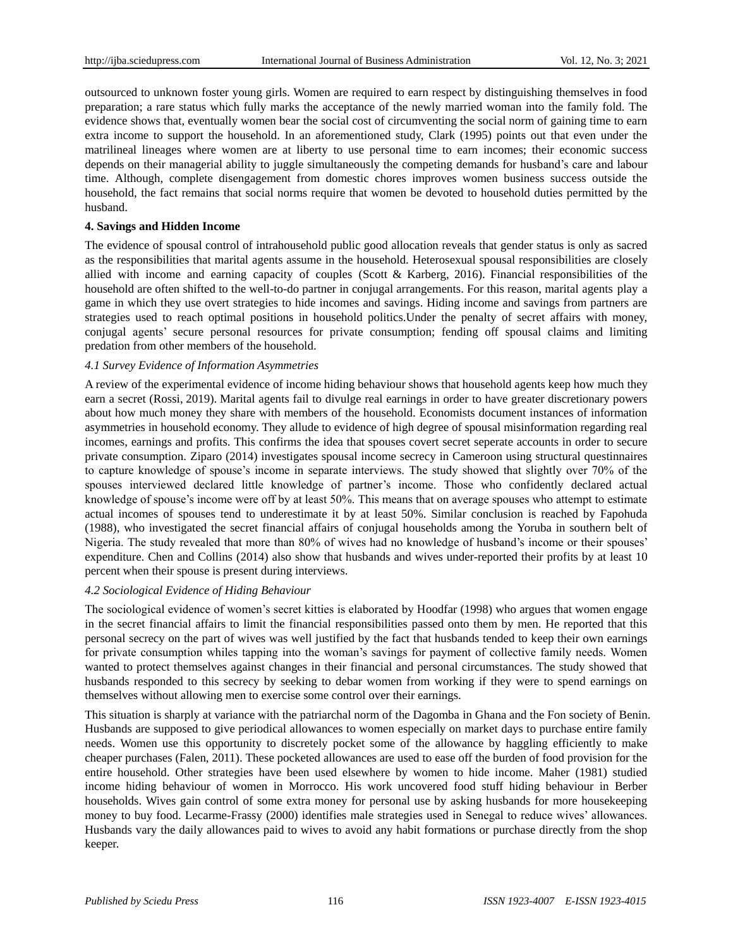outsourced to unknown foster young girls. Women are required to earn respect by distinguishing themselves in food preparation; a rare status which fully marks the acceptance of the newly married woman into the family fold. The evidence shows that, eventually women bear the social cost of circumventing the social norm of gaining time to earn extra income to support the household. In an aforementioned study, Clark (1995) points out that even under the matrilineal lineages where women are at liberty to use personal time to earn incomes; their economic success depends on their managerial ability to juggle simultaneously the competing demands for husband"s care and labour time. Although, complete disengagement from domestic chores improves women business success outside the household, the fact remains that social norms require that women be devoted to household duties permitted by the husband.

## **4. Savings and Hidden Income**

The evidence of spousal control of intrahousehold public good allocation reveals that gender status is only as sacred as the responsibilities that marital agents assume in the household. Heterosexual spousal responsibilities are closely allied with income and earning capacity of couples (Scott & Karberg, 2016). Financial responsibilities of the household are often shifted to the well-to-do partner in conjugal arrangements. For this reason, marital agents play a game in which they use overt strategies to hide incomes and savings. Hiding income and savings from partners are strategies used to reach optimal positions in household politics.Under the penalty of secret affairs with money, conjugal agents" secure personal resources for private consumption; fending off spousal claims and limiting predation from other members of the household.

## *4.1 Survey Evidence of Information Asymmetries*

A review of the experimental evidence of income hiding behaviour shows that household agents keep how much they earn a secret (Rossi, 2019). Marital agents fail to divulge real earnings in order to have greater discretionary powers about how much money they share with members of the household. Economists document instances of information asymmetries in household economy. They allude to evidence of high degree of spousal misinformation regarding real incomes, earnings and profits. This confirms the idea that spouses covert secret seperate accounts in order to secure private consumption. Ziparo (2014) investigates spousal income secrecy in Cameroon using structural questinnaires to capture knowledge of spouse"s income in separate interviews. The study showed that slightly over 70% of the spouses interviewed declared little knowledge of partner's income. Those who confidently declared actual knowledge of spouse's income were off by at least 50%. This means that on average spouses who attempt to estimate actual incomes of spouses tend to underestimate it by at least 50%. Similar conclusion is reached by Fapohuda (1988), who investigated the secret financial affairs of conjugal households among the Yoruba in southern belt of Nigeria. The study revealed that more than 80% of wives had no knowledge of husband's income or their spouses' expenditure. Chen and Collins (2014) also show that husbands and wives under-reported their profits by at least 10 percent when their spouse is present during interviews.

# *4.2 Sociological Evidence of Hiding Behaviour*

The sociological evidence of women"s secret kitties is elaborated by Hoodfar (1998) who argues that women engage in the secret financial affairs to limit the financial responsibilities passed onto them by men. He reported that this personal secrecy on the part of wives was well justified by the fact that husbands tended to keep their own earnings for private consumption whiles tapping into the woman"s savings for payment of collective family needs. Women wanted to protect themselves against changes in their financial and personal circumstances. The study showed that husbands responded to this secrecy by seeking to debar women from working if they were to spend earnings on themselves without allowing men to exercise some control over their earnings.

This situation is sharply at variance with the patriarchal norm of the Dagomba in Ghana and the Fon society of Benin. Husbands are supposed to give periodical allowances to women especially on market days to purchase entire family needs. Women use this opportunity to discretely pocket some of the allowance by haggling efficiently to make cheaper purchases (Falen, 2011). These pocketed allowances are used to ease off the burden of food provision for the entire household. Other strategies have been used elsewhere by women to hide income. Maher (1981) studied income hiding behaviour of women in Morrocco. His work uncovered food stuff hiding behaviour in Berber households. Wives gain control of some extra money for personal use by asking husbands for more housekeeping money to buy food. Lecarme-Frassy (2000) identifies male strategies used in Senegal to reduce wives" allowances. Husbands vary the daily allowances paid to wives to avoid any habit formations or purchase directly from the shop keeper.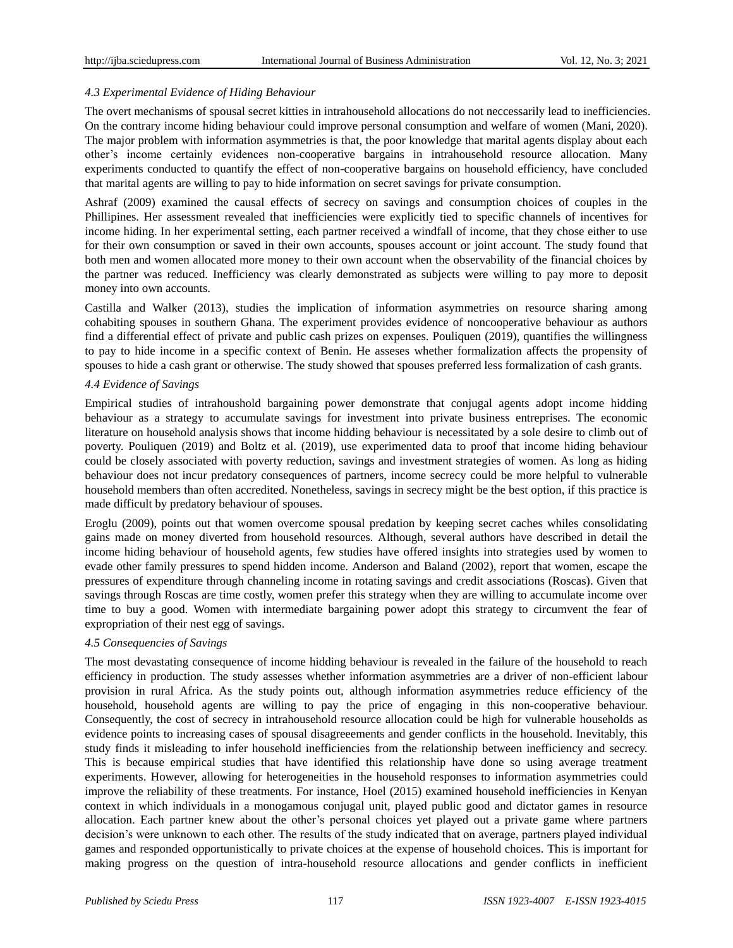# *4.3 Experimental Evidence of Hiding Behaviour*

The overt mechanisms of spousal secret kitties in intrahousehold allocations do not neccessarily lead to inefficiencies. On the contrary income hiding behaviour could improve personal consumption and welfare of women (Mani, 2020). The major problem with information asymmetries is that, the poor knowledge that marital agents display about each other"s income certainly evidences non-cooperative bargains in intrahousehold resource allocation. Many experiments conducted to quantify the effect of non-cooperative bargains on household efficiency, have concluded that marital agents are willing to pay to hide information on secret savings for private consumption.

Ashraf (2009) examined the causal effects of secrecy on savings and consumption choices of couples in the Phillipines. Her assessment revealed that inefficiencies were explicitly tied to specific channels of incentives for income hiding. In her experimental setting, each partner received a windfall of income, that they chose either to use for their own consumption or saved in their own accounts, spouses account or joint account. The study found that both men and women allocated more money to their own account when the observability of the financial choices by the partner was reduced. Inefficiency was clearly demonstrated as subjects were willing to pay more to deposit money into own accounts.

Castilla and Walker (2013), studies the implication of information asymmetries on resource sharing among cohabiting spouses in southern Ghana. The experiment provides evidence of noncooperative behaviour as authors find a differential effect of private and public cash prizes on expenses. Pouliquen (2019), quantifies the willingness to pay to hide income in a specific context of Benin. He asseses whether formalization affects the propensity of spouses to hide a cash grant or otherwise. The study showed that spouses preferred less formalization of cash grants.

# *4.4 Evidence of Savings*

Empirical studies of intrahoushold bargaining power demonstrate that conjugal agents adopt income hidding behaviour as a strategy to accumulate savings for investment into private business entreprises. The economic literature on household analysis shows that income hidding behaviour is necessitated by a sole desire to climb out of poverty. Pouliquen (2019) and Boltz et al. (2019), use experimented data to proof that income hiding behaviour could be closely associated with poverty reduction, savings and investment strategies of women. As long as hiding behaviour does not incur predatory consequences of partners, income secrecy could be more helpful to vulnerable household members than often accredited. Nonetheless, savings in secrecy might be the best option, if this practice is made difficult by predatory behaviour of spouses.

Eroglu (2009), points out that women overcome spousal predation by keeping secret caches whiles consolidating gains made on money diverted from household resources. Although, several authors have described in detail the income hiding behaviour of household agents, few studies have offered insights into strategies used by women to evade other family pressures to spend hidden income. Anderson and Baland (2002), report that women, escape the pressures of expenditure through channeling income in rotating savings and credit associations (Roscas). Given that savings through Roscas are time costly, women prefer this strategy when they are willing to accumulate income over time to buy a good. Women with intermediate bargaining power adopt this strategy to circumvent the fear of expropriation of their nest egg of savings.

# *4.5 Consequencies of Savings*

The most devastating consequence of income hidding behaviour is revealed in the failure of the household to reach efficiency in production. The study assesses whether information asymmetries are a driver of non-efficient labour provision in rural Africa. As the study points out, although information asymmetries reduce efficiency of the household, household agents are willing to pay the price of engaging in this non-cooperative behaviour. Consequently, the cost of secrecy in intrahousehold resource allocation could be high for vulnerable households as evidence points to increasing cases of spousal disagreeements and gender conflicts in the household. Inevitably, this study finds it misleading to infer household inefficiencies from the relationship between inefficiency and secrecy. This is because empirical studies that have identified this relationship have done so using average treatment experiments. However, allowing for heterogeneities in the household responses to information asymmetries could improve the reliability of these treatments. For instance, Hoel (2015) examined household inefficiencies in Kenyan context in which individuals in a monogamous conjugal unit, played public good and dictator games in resource allocation. Each partner knew about the other"s personal choices yet played out a private game where partners decision's were unknown to each other. The results of the study indicated that on average, partners played individual games and responded opportunistically to private choices at the expense of household choices. This is important for making progress on the question of intra-household resource allocations and gender conflicts in inefficient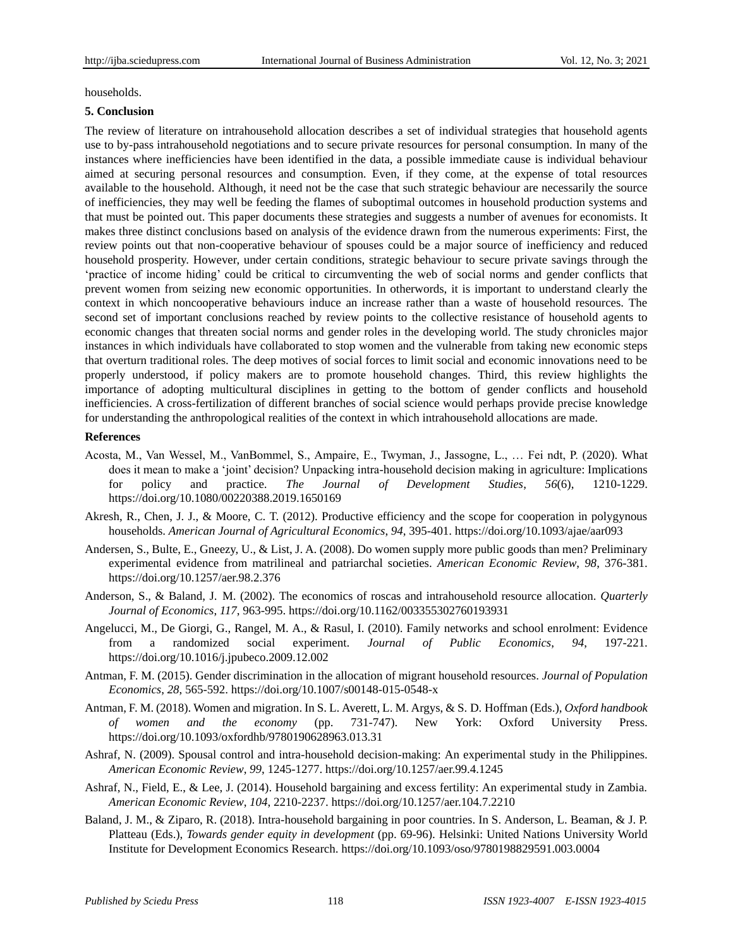households.

# **5. Conclusion**

The review of literature on intrahousehold allocation describes a set of individual strategies that household agents use to by-pass intrahousehold negotiations and to secure private resources for personal consumption. In many of the instances where inefficiencies have been identified in the data, a possible immediate cause is individual behaviour aimed at securing personal resources and consumption. Even, if they come, at the expense of total resources available to the household. Although, it need not be the case that such strategic behaviour are necessarily the source of inefficiencies, they may well be feeding the flames of suboptimal outcomes in household production systems and that must be pointed out. This paper documents these strategies and suggests a number of avenues for economists. It makes three distinct conclusions based on analysis of the evidence drawn from the numerous experiments: First, the review points out that non-cooperative behaviour of spouses could be a major source of inefficiency and reduced household prosperity. However, under certain conditions, strategic behaviour to secure private savings through the "practice of income hiding" could be critical to circumventing the web of social norms and gender conflicts that prevent women from seizing new economic opportunities. In otherwords, it is important to understand clearly the context in which noncooperative behaviours induce an increase rather than a waste of household resources. The second set of important conclusions reached by review points to the collective resistance of household agents to economic changes that threaten social norms and gender roles in the developing world. The study chronicles major instances in which individuals have collaborated to stop women and the vulnerable from taking new economic steps that overturn traditional roles. The deep motives of social forces to limit social and economic innovations need to be properly understood, if policy makers are to promote household changes. Third, this review highlights the importance of adopting multicultural disciplines in getting to the bottom of gender conflicts and household inefficiencies. A cross-fertilization of different branches of social science would perhaps provide precise knowledge for understanding the anthropological realities of the context in which intrahousehold allocations are made.

## **References**

- Acosta, M., Van Wessel, M., VanBommel, S., Ampaire, E., Twyman, J., Jassogne, L., … Fei ndt, P. (2020). What does it mean to make a "joint" decision? Unpacking intra-household decision making in agriculture: Implications for policy and practice. *The Journal of Development Studies*, *56*(6), 1210-1229. https://doi.org/10.1080/00220388.2019.1650169
- Akresh, R., Chen, J. J., & Moore, C. T. (2012). Productive efficiency and the scope for cooperation in polygynous households. *American Journal of Agricultural Economics*, *94*, 395-401. https://doi.org/10.1093/ajae/aar093
- Andersen, S., Bulte, E., Gneezy, U., & List, J. A. (2008). Do women supply more public goods than men? Preliminary experimental evidence from matrilineal and patriarchal societies. *American Economic Review*, *98*, 376-381. https://doi.org/10.1257/aer.98.2.376
- Anderson, S., & Baland, J. M. (2002). The economics of roscas and intrahousehold resource allocation. *Quarterly Journal of Economics*, *117*, 963-995. https://doi.org/10.1162/003355302760193931
- Angelucci, M., De Giorgi, G., Rangel, M. A., & Rasul, I. (2010). Family networks and school enrolment: Evidence from a randomized social experiment. *Journal of Public Economics*, *94*, 197-221. https://doi.org/10.1016/j.jpubeco.2009.12.002
- Antman, F. M. (2015). Gender discrimination in the allocation of migrant household resources. *Journal of Population Economics*, *28*, 565-592. https://doi.org/10.1007/s00148-015-0548-x
- Antman, F. M. (2018). Women and migration. In S. L. Averett, L. M. Argys, & S. D. Hoffman (Eds.), *Oxford handbook of women and the economy* (pp. 731-747). New York: Oxford University Press. https://doi.org/10.1093/oxfordhb/9780190628963.013.31
- Ashraf, N. (2009). Spousal control and intra-household decision-making: An experimental study in the Philippines. *American Economic Review*, *99*, 1245-1277. https://doi.org/10.1257/aer.99.4.1245
- Ashraf, N., Field, E., & Lee, J. (2014). Household bargaining and excess fertility: An experimental study in Zambia. *American Economic Review*, *104*, 2210-2237. https://doi.org/10.1257/aer.104.7.2210
- Baland, J. M., & Ziparo, R. (2018). Intra-household bargaining in poor countries. In S. Anderson, L. Beaman, & J. P. Platteau (Eds.), *Towards gender equity in development* (pp. 69-96). Helsinki: United Nations University World Institute for Development Economics Research. https://doi.org/10.1093/oso/9780198829591.003.0004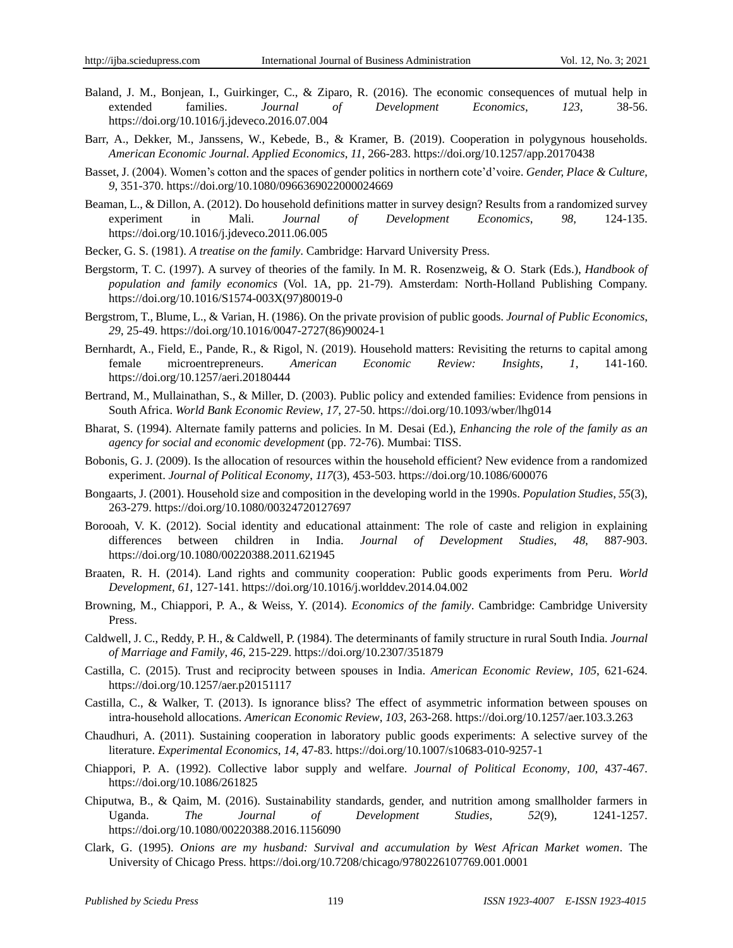- Baland, J. M., Bonjean, I., Guirkinger, C., & Ziparo, R. (2016). The economic consequences of mutual help in extended families. *Journal of Development Economics*, *123*, 38-56. https://doi.org/10.1016/j.jdeveco.2016.07.004
- Barr, A., Dekker, M., Janssens, W., Kebede, B., & Kramer, B. (2019). Cooperation in polygynous households. *American Economic Journal. Applied Economics*, *11*, 266-283. https://doi.org/10.1257/app.20170438
- Basset, J. (2004). Women"s cotton and the spaces of gender politics in northern cote"d"voire. *Gender, Place & Culture, 9*, 351-370. https://doi.org/10.1080/0966369022000024669
- Beaman, L., & Dillon, A. (2012). Do household definitions matter in survey design? Results from a randomized survey experiment in Mali. *Journal of Development Economics*, *98*, 124-135. https://doi.org/10.1016/j.jdeveco.2011.06.005
- Becker, G. S. (1981). *A treatise on the family*. Cambridge: Harvard University Press.
- Bergstorm, T. C. (1997). A survey of theories of the family. In M. R. Rosenzweig, & O. Stark (Eds.), *Handbook of population and family economics* (Vol. 1A, pp. 21-79). Amsterdam: North-Holland Publishing Company. https://doi.org/10.1016/S1574-003X(97)80019-0
- Bergstrom, T., Blume, L., & Varian, H. (1986). On the private provision of public goods. *Journal of Public Economics*, *29*, 25-49. https://doi.org/10.1016/0047-2727(86)90024-1
- Bernhardt, A., Field, E., Pande, R., & Rigol, N. (2019). Household matters: Revisiting the returns to capital among female microentrepreneurs. *American Economic Review: Insights*, *1*, 141-160. https://doi.org/10.1257/aeri.20180444
- Bertrand, M., Mullainathan, S., & Miller, D. (2003). Public policy and extended families: Evidence from pensions in South Africa. *World Bank Economic Review*, *17*, 27-50. https://doi.org/10.1093/wber/lhg014
- Bharat, S. (1994). Alternate family patterns and policies. In M. Desai (Ed.), *Enhancing the role of the family as an agency for social and economic development* (pp. 72-76). Mumbai: TISS.
- Bobonis, G. J. (2009). Is the allocation of resources within the household efficient? New evidence from a randomized experiment. *Journal of Political Economy*, *117*(3), 453-503. https://doi.org/10.1086/600076
- Bongaarts, J. (2001). Household size and composition in the developing world in the 1990s. *Population Studies*, *55*(3), 263-279. https://doi.org/10.1080/00324720127697
- Borooah, V. K. (2012). Social identity and educational attainment: The role of caste and religion in explaining differences between children in India. *Journal of Development Studies*, *48*, 887-903. https://doi.org/10.1080/00220388.2011.621945
- Braaten, R. H. (2014). Land rights and community cooperation: Public goods experiments from Peru. *World Development*, *61*, 127-141. https://doi.org/10.1016/j.worlddev.2014.04.002
- Browning, M., Chiappori, P. A., & Weiss, Y. (2014). *Economics of the family*. Cambridge: Cambridge University Press.
- Caldwell, J. C., Reddy, P. H., & Caldwell, P. (1984). The determinants of family structure in rural South India. *Journal of Marriage and Family*, *46*, 215-229. https://doi.org/10.2307/351879
- Castilla, C. (2015). Trust and reciprocity between spouses in India. *American Economic Review*, *105*, 621-624. https://doi.org/10.1257/aer.p20151117
- Castilla, C., & Walker, T. (2013). Is ignorance bliss? The effect of asymmetric information between spouses on intra-household allocations. *American Economic Review*, *103*, 263-268. https://doi.org/10.1257/aer.103.3.263
- Chaudhuri, A. (2011). Sustaining cooperation in laboratory public goods experiments: A selective survey of the literature. *Experimental Economics*, *14*, 47-83. https://doi.org/10.1007/s10683-010-9257-1
- Chiappori, P. A. (1992). Collective labor supply and welfare. *Journal of Political Economy*, *100*, 437-467. https://doi.org/10.1086/261825
- Chiputwa, B., & Qaim, M. (2016). Sustainability standards, gender, and nutrition among smallholder farmers in Uganda. *The Journal of Development Studies*, *52*(9), 1241-1257. https://doi.org/10.1080/00220388.2016.1156090
- Clark, G. (1995). *Onions are my husband: Survival and accumulation by West African Market women*. The University of Chicago Press. https://doi.org/10.7208/chicago/9780226107769.001.0001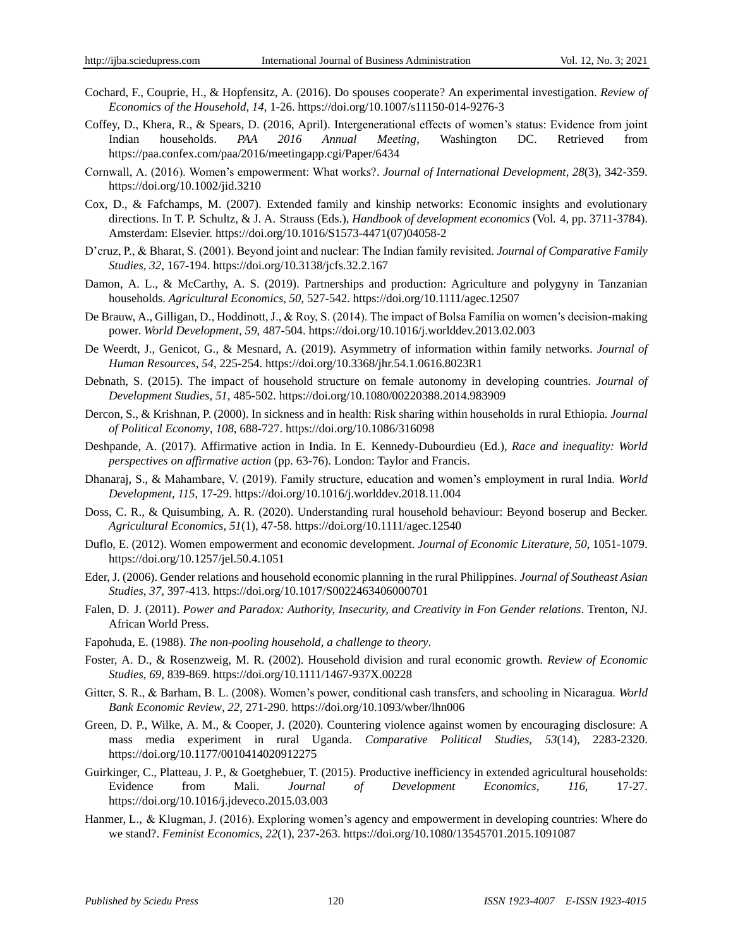- Cochard, F., Couprie, H., & Hopfensitz, A. (2016). Do spouses cooperate? An experimental investigation. *Review of Economics of the Household*, *14*, 1-26. https://doi.org/10.1007/s11150-014-9276-3
- Coffey, D., Khera, R., & Spears, D. (2016, April). Intergenerational effects of women"s status: Evidence from joint Indian households. *PAA 2016 Annual Meeting*, Washington DC. Retrieved from <https://paa.confex.com/paa/2016/meetingapp.cgi/Paper/6434>
- Cornwall, A. (2016). Women"s empowerment: What works?. *Journal of International Development*, *28*(3), 342-359. https://doi.org/10.1002/jid.3210
- Cox, D., & Fafchamps, M. (2007). Extended family and kinship networks: Economic insights and evolutionary directions. In T. P. Schultz, & J. A. Strauss (Eds.), *Handbook of development economics* (Vol. 4, pp. 3711-3784). Amsterdam: Elsevier. https://doi.org/10.1016/S1573-4471(07)04058-2
- D"cruz, P., & Bharat, S. (2001). Beyond joint and nuclear: The Indian family revisited. *Journal of Comparative Family Studies*, *32*, 167-194. https://doi.org/10.3138/jcfs.32.2.167
- Damon, A. L., & McCarthy, A. S. (2019). Partnerships and production: Agriculture and polygyny in Tanzanian households. *Agricultural Economics*, *50*, 527-542. https://doi.org/10.1111/agec.12507
- De Brauw, A., Gilligan, D., Hoddinott, J., & Roy, S. (2014). The impact of Bolsa Família on women's decision-making power. *World Development*, *59*, 487-504. https://doi.org/10.1016/j.worlddev.2013.02.003
- De Weerdt, J., Genicot, G., & Mesnard, A. (2019). Asymmetry of information within family networks. *Journal of Human Resources*, *54*, 225-254. https://doi.org/10.3368/jhr.54.1.0616.8023R1
- Debnath, S. (2015). The impact of household structure on female autonomy in developing countries. *Journal of Development Studies*, *51*, 485-502. https://doi.org/10.1080/00220388.2014.983909
- Dercon, S., & Krishnan, P. (2000). In sickness and in health: Risk sharing within households in rural Ethiopia. *Journal of Political Economy*, *108*, 688-727. https://doi.org/10.1086/316098
- Deshpande, A. (2017). Affirmative action in India. In E. Kennedy-Dubourdieu (Ed.), *Race and inequality: World perspectives on affirmative action* (pp. 63-76). London: Taylor and Francis.
- Dhanaraj, S., & Mahambare, V. (2019). Family structure, education and women"s employment in rural India. *World Development*, *115*, 17-29. https://doi.org/10.1016/j.worlddev.2018.11.004
- Doss, C. R., & Quisumbing, A. R. (2020). Understanding rural household behaviour: Beyond boserup and Becker. *Agricultural Economics*, *51*(1), 47-58. https://doi.org/10.1111/agec.12540
- Duflo, E. (2012). Women empowerment and economic development. *Journal of Economic Literature*, *50*, 1051-1079. https://doi.org/10.1257/jel.50.4.1051
- Eder, J. (2006). Gender relations and household economic planning in the rural Philippines. *Journal of Southeast Asian Studies*, *37*, 397-413. https://doi.org/10.1017/S0022463406000701
- Falen, D. J. (2011). *Power and Paradox: Authority, Insecurity, and Creativity in Fon Gender relations*. Trenton, NJ. African World Press.
- Fapohuda, E. (1988). *The non-pooling household, a challenge to theory*.
- Foster, A. D., & Rosenzweig, M. R. (2002). Household division and rural economic growth. *Review of Economic Studies*, *69*, 839-869. https://doi.org/10.1111/1467-937X.00228
- Gitter, S. R., & Barham, B. L. (2008). Women"s power, conditional cash transfers, and schooling in Nicaragua. *World Bank Economic Review*, *22*, 271-290. https://doi.org/10.1093/wber/lhn006
- Green, D. P., Wilke, A. M., & Cooper, J. (2020). Countering violence against women by encouraging disclosure: A mass media experiment in rural Uganda. *Comparative Political Studies*, *53*(14), 2283-2320. https://doi.org/10.1177/0010414020912275
- Guirkinger, C., Platteau, J. P., & Goetghebuer, T. (2015). Productive inefficiency in extended agricultural households: Evidence from Mali. *Journal of Development Economics*, *116*, 17-27. https://doi.org/10.1016/j.jdeveco.2015.03.003
- Hanmer, L., & Klugman, J. (2016). Exploring women"s agency and empowerment in developing countries: Where do we stand?. *Feminist Economics*, *22*(1), 237-263. https://doi.org/10.1080/13545701.2015.1091087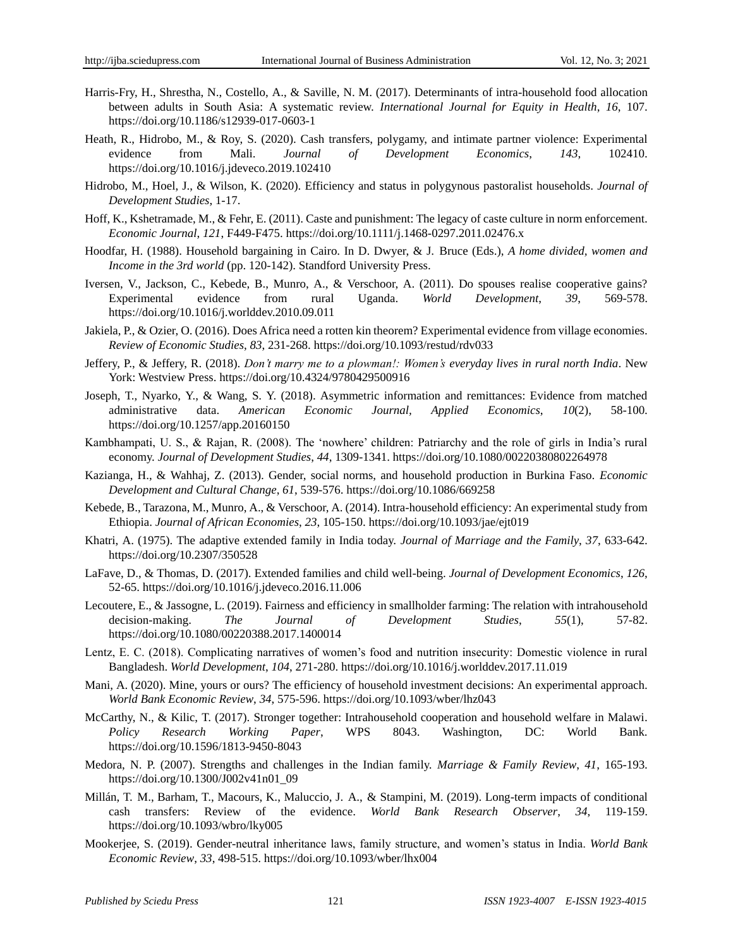- Harris-Fry, H., Shrestha, N., Costello, A., & Saville, N. M. (2017). Determinants of intra-household food allocation between adults in South Asia: A systematic review. *International Journal for Equity in Health*, *16*, 107. https://doi.org/10.1186/s12939-017-0603-1
- Heath, R., Hidrobo, M., & Roy, S. (2020). Cash transfers, polygamy, and intimate partner violence: Experimental evidence from Mali. *Journal of Development Economics*, *143*, 102410. https://doi.org/10.1016/j.jdeveco.2019.102410
- Hidrobo, M., Hoel, J., & Wilson, K. (2020). Efficiency and status in polygynous pastoralist households. *Journal of Development Studies*, 1-17.
- Hoff, K., Kshetramade, M., & Fehr, E. (2011). Caste and punishment: The legacy of caste culture in norm enforcement. *Economic Journal*, *121*, F449-F475. https://doi.org/10.1111/j.1468-0297.2011.02476.x
- Hoodfar, H. (1988). Household bargaining in Cairo. In D. Dwyer, & J. Bruce (Eds.), *A home divided, women and Income in the 3rd world* (pp. 120-142). Standford University Press.
- Iversen, V., Jackson, C., Kebede, B., Munro, A., & Verschoor, A. (2011). Do spouses realise cooperative gains? Experimental evidence from rural Uganda. *World Development*, *39*, 569-578. https://doi.org/10.1016/j.worlddev.2010.09.011
- Jakiela, P., & Ozier, O. (2016). Does Africa need a rotten kin theorem? Experimental evidence from village economies. *Review of Economic Studies*, *83*, 231-268. https://doi.org/10.1093/restud/rdv033
- Jeffery, P., & Jeffery, R. (2018). *Don't marry me to a plowman!: Women's everyday lives in rural north India*. New York: Westview Press. https://doi.org/10.4324/9780429500916
- Joseph, T., Nyarko, Y., & Wang, S. Y. (2018). Asymmetric information and remittances: Evidence from matched administrative data. *American Economic Journal, Applied Economics*, *10*(2), 58-100. https://doi.org/10.1257/app.20160150
- Kambhampati, U. S., & Rajan, R. (2008). The 'nowhere' children: Patriarchy and the role of girls in India's rural economy. *Journal of Development Studies*, *44*, 1309-1341. https://doi.org/10.1080/00220380802264978
- Kazianga, H., & Wahhaj, Z. (2013). Gender, social norms, and household production in Burkina Faso. *Economic Development and Cultural Change*, *61*, 539-576. https://doi.org/10.1086/669258
- Kebede, B., Tarazona, M., Munro, A., & Verschoor, A. (2014). Intra-household efficiency: An experimental study from Ethiopia. *Journal of African Economies*, *23*, 105-150. https://doi.org/10.1093/jae/ejt019
- Khatri, A. (1975). The adaptive extended family in India today. *Journal of Marriage and the Family*, *37*, 633-642. https://doi.org/10.2307/350528
- LaFave, D., & Thomas, D. (2017). Extended families and child well-being. *Journal of Development Economics*, *126*, 52-65. https://doi.org/10.1016/j.jdeveco.2016.11.006
- Lecoutere, E., & Jassogne, L. (2019). Fairness and efficiency in smallholder farming: The relation with intrahousehold decision-making. *The Journal of Development Studies*, *55*(1), 57-82. https://doi.org/10.1080/00220388.2017.1400014
- Lentz, E. C. (2018). Complicating narratives of women"s food and nutrition insecurity: Domestic violence in rural Bangladesh. *World Development*, *104*, 271-280. https://doi.org/10.1016/j.worlddev.2017.11.019
- Mani, A. (2020). Mine, yours or ours? The efficiency of household investment decisions: An experimental approach. *World Bank Economic Review*, *34*, 575-596. https://doi.org/10.1093/wber/lhz043
- McCarthy, N., & Kilic, T. (2017). Stronger together: Intrahousehold cooperation and household welfare in Malawi. *Policy Research Working Paper*, WPS 8043. Washington, DC: World Bank. https://doi.org/10.1596/1813-9450-8043
- Medora, N. P. (2007). Strengths and challenges in the Indian family. *Marriage & Family Review*, *41*, 165-193. https://doi.org/10.1300/J002v41n01\_09
- Millán, T. M., Barham, T., Macours, K., Maluccio, J. A., & Stampini, M. (2019). Long-term impacts of conditional cash transfers: Review of the evidence. *World Bank Research Observer*, *34*, 119-159. https://doi.org/10.1093/wbro/lky005
- Mookerjee, S. (2019). Gender-neutral inheritance laws, family structure, and women"s status in India. *World Bank Economic Review*, *33*, 498-515. https://doi.org/10.1093/wber/lhx004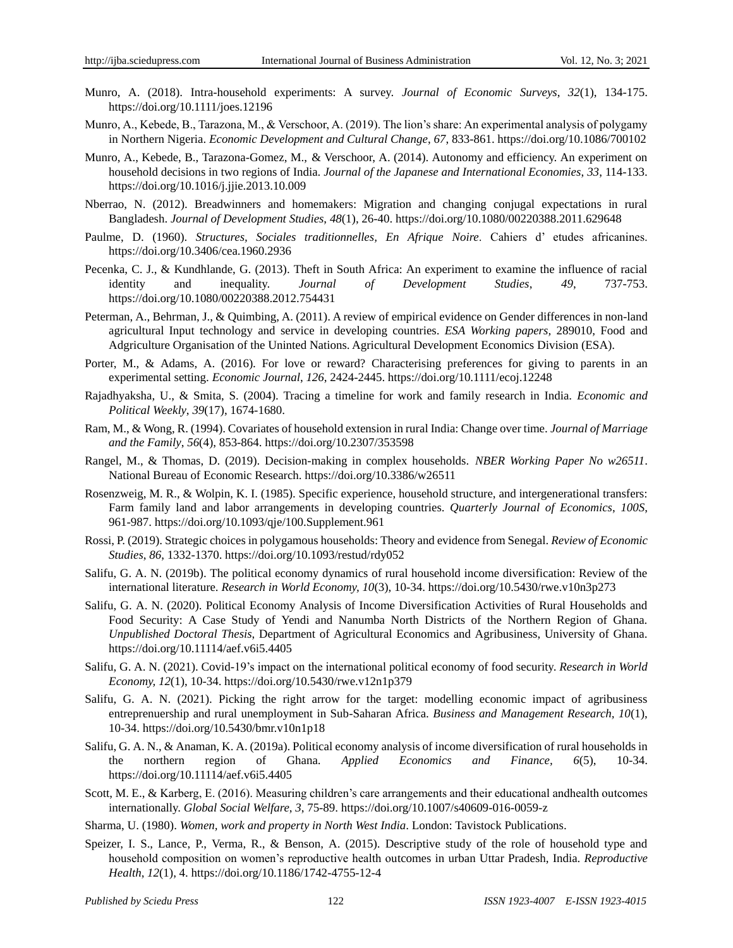- Munro, A. (2018). Intra-household experiments: A survey. *Journal of Economic Surveys*, *32*(1), 134-175. https://doi.org/10.1111/joes.12196
- Munro, A., Kebede, B., Tarazona, M., & Verschoor, A. (2019). The lion"s share: An experimental analysis of polygamy in Northern Nigeria. *Economic Development and Cultural Change*, *67*, 833-861. https://doi.org/10.1086/700102
- Munro, A., Kebede, B., Tarazona-Gomez, M., & Verschoor, A. (2014). Autonomy and efficiency. An experiment on household decisions in two regions of India. *Journal of the Japanese and International Economies*, *33*, 114-133. https://doi.org/10.1016/j.jjie.2013.10.009
- Nberrao, N. (2012). Breadwinners and homemakers: Migration and changing conjugal expectations in rural Bangladesh. *Journal of Development Studies*, *48*(1), 26-40. https://doi.org/10.1080/00220388.2011.629648
- Paulme, D. (1960). *Structures, Sociales traditionnelles, En Afrique Noire*. Cahiers d" etudes africanines. https://doi.org/10.3406/cea.1960.2936
- Pecenka, C. J., & Kundhlande, G. (2013). Theft in South Africa: An experiment to examine the influence of racial identity and inequality. *Journal of Development Studies*, *49*, 737-753. https://doi.org/10.1080/00220388.2012.754431
- Peterman, A., Behrman, J., & Quimbing, A. (2011). A review of empirical evidence on Gender differences in non-land agricultural Input technology and service in developing countries. *ESA Working papers,* 289010, Food and Adgriculture Organisation of the Uninted Nations. Agricultural Development Economics Division (ESA).
- Porter, M., & Adams, A. (2016). For love or reward? Characterising preferences for giving to parents in an experimental setting. *Economic Journal*, *126*, 2424-2445. https://doi.org/10.1111/ecoj.12248
- Rajadhyaksha, U., & Smita, S. (2004). Tracing a timeline for work and family research in India. *Economic and Political Weekly*, *39*(17), 1674-1680.
- Ram, M., & Wong, R. (1994). Covariates of household extension in rural India: Change over time. *Journal of Marriage and the Family*, *56*(4), 853-864. https://doi.org/10.2307/353598
- Rangel, M., & Thomas, D. (2019). Decision-making in complex households. *NBER Working Paper No w26511*. National Bureau of Economic Research. https://doi.org/10.3386/w26511
- Rosenzweig, M. R., & Wolpin, K. I. (1985). Specific experience, household structure, and intergenerational transfers: Farm family land and labor arrangements in developing countries. *Quarterly Journal of Economics*, *100S*, 961-987. https://doi.org/10.1093/qje/100.Supplement.961
- Rossi, P. (2019). Strategic choices in polygamous households: Theory and evidence from Senegal. *Review of Economic Studies*, *86*, 1332-1370. https://doi.org/10.1093/restud/rdy052
- Salifu, G. A. N. (2019b). The political economy dynamics of rural household income diversification: Review of the international literature. *Research in World Economy, 10*(3), 10-34. https://doi.org/10.5430/rwe.v10n3p273
- Salifu, G. A. N. (2020). Political Economy Analysis of Income Diversification Activities of Rural Households and Food Security: A Case Study of Yendi and Nanumba North Districts of the Northern Region of Ghana. *Unpublished Doctoral Thesis*, Department of Agricultural Economics and Agribusiness, University of Ghana. <https://doi.org/10.11114/aef.v6i5.4405>
- Salifu, G. A. N. (2021). Covid-19"s impact on the international political economy of food security. *Research in World Economy, 12*(1), 10-34. https://doi.org/10.5430/rwe.v12n1p379
- Salifu, G. A. N. (2021). Picking the right arrow for the target: modelling economic impact of agribusiness entreprenuership and rural unemployment in Sub-Saharan Africa. *Business and Management Research, 10*(1), 10-34. <https://doi.org/10.5430/bmr.v10n1p18>
- Salifu, G. A. N., & Anaman, K. A. (2019a). Political economy analysis of income diversification of rural households in the northern region of Ghana. *Applied Economics and Finance, 6*(5), 10-34. <https://doi.org/10.11114/aef.v6i5.4405>
- Scott, M. E., & Karberg, E. (2016). Measuring children"s care arrangements and their educational andhealth outcomes internationally. *Global Social Welfare*, *3*, 75-89. https://doi.org/10.1007/s40609-016-0059-z
- Sharma, U. (1980). *Women, work and property in North West India*. London: Tavistock Publications.
- Speizer, I. S., Lance, P., Verma, R., & Benson, A. (2015). Descriptive study of the role of household type and household composition on women"s reproductive health outcomes in urban Uttar Pradesh, India. *Reproductive Health*, *12*(1), 4. https://doi.org/10.1186/1742-4755-12-4